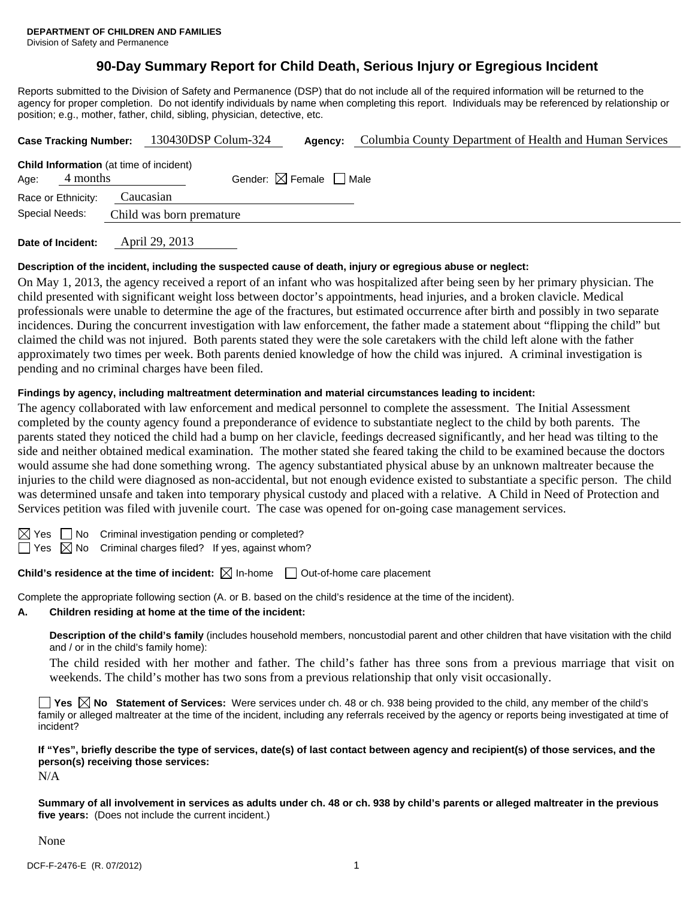Division of Safety and Permanence

## **90-Day Summary Report for Child Death, Serious Injury or Egregious Incident**

Reports submitted to the Division of Safety and Permanence (DSP) that do not include all of the required information will be returned to the agency for proper completion. Do not identify individuals by name when completing this report. Individuals may be referenced by relationship or position; e.g., mother, father, child, sibling, physician, detective, etc.

| <b>Case Tracking Number:</b>                                       |  | 130430DSP Colum-324      |                                        | Agency: | Columbia County Department of Health and Human Services |  |  |  |
|--------------------------------------------------------------------|--|--------------------------|----------------------------------------|---------|---------------------------------------------------------|--|--|--|
| <b>Child Information</b> (at time of incident)<br>4 months<br>Age: |  |                          | Gender: $\boxtimes$ Female $\Box$ Male |         |                                                         |  |  |  |
| Race or Ethnicity:                                                 |  | Caucasian                |                                        |         |                                                         |  |  |  |
| Special Needs:                                                     |  | Child was born premature |                                        |         |                                                         |  |  |  |
|                                                                    |  |                          |                                        |         |                                                         |  |  |  |

**Date of Incident:** April 29, 2013

#### **Description of the incident, including the suspected cause of death, injury or egregious abuse or neglect:**

On May 1, 2013, the agency received a report of an infant who was hospitalized after being seen by her primary physician. The child presented with significant weight loss between doctor's appointments, head injuries, and a broken clavicle. Medical professionals were unable to determine the age of the fractures, but estimated occurrence after birth and possibly in two separate incidences. During the concurrent investigation with law enforcement, the father made a statement about "flipping the child" but claimed the child was not injured. Both parents stated they were the sole caretakers with the child left alone with the father approximately two times per week. Both parents denied knowledge of how the child was injured. A criminal investigation is pending and no criminal charges have been filed.

#### **Findings by agency, including maltreatment determination and material circumstances leading to incident:**

The agency collaborated with law enforcement and medical personnel to complete the assessment. The Initial Assessment completed by the county agency found a preponderance of evidence to substantiate neglect to the child by both parents. The parents stated they noticed the child had a bump on her clavicle, feedings decreased significantly, and her head was tilting to the side and neither obtained medical examination. The mother stated she feared taking the child to be examined because the doctors would assume she had done something wrong. The agency substantiated physical abuse by an unknown maltreater because the injuries to the child were diagnosed as non-accidental, but not enough evidence existed to substantiate a specific person. The child was determined unsafe and taken into temporary physical custody and placed with a relative. A Child in Need of Protection and Services petition was filed with juvenile court. The case was opened for on-going case management services.

 $\boxtimes$  Yes  $\Box$  No Criminal investigation pending or completed?

 $\Box$  Yes  $\boxtimes$  No Criminal charges filed? If yes, against whom?

**Child's residence at the time of incident:**  $\boxtimes$  In-home  $\Box$  Out-of-home care placement

Complete the appropriate following section (A. or B. based on the child's residence at the time of the incident).

#### **A. Children residing at home at the time of the incident:**

**Description of the child's family** (includes household members, noncustodial parent and other children that have visitation with the child and / or in the child's family home):

 The child resided with her mother and father. The child's father has three sons from a previous marriage that visit on weekends. The child's mother has two sons from a previous relationship that only visit occasionally.

**Yes**  $\boxtimes$  **No** Statement of Services: Were services under ch. 48 or ch. 938 being provided to the child, any member of the child's family or alleged maltreater at the time of the incident, including any referrals received by the agency or reports being investigated at time of incident?

**If "Yes", briefly describe the type of services, date(s) of last contact between agency and recipient(s) of those services, and the person(s) receiving those services:** 

 $N/A$ 

**Summary of all involvement in services as adults under ch. 48 or ch. 938 by child's parents or alleged maltreater in the previous five years:** (Does not include the current incident.)

None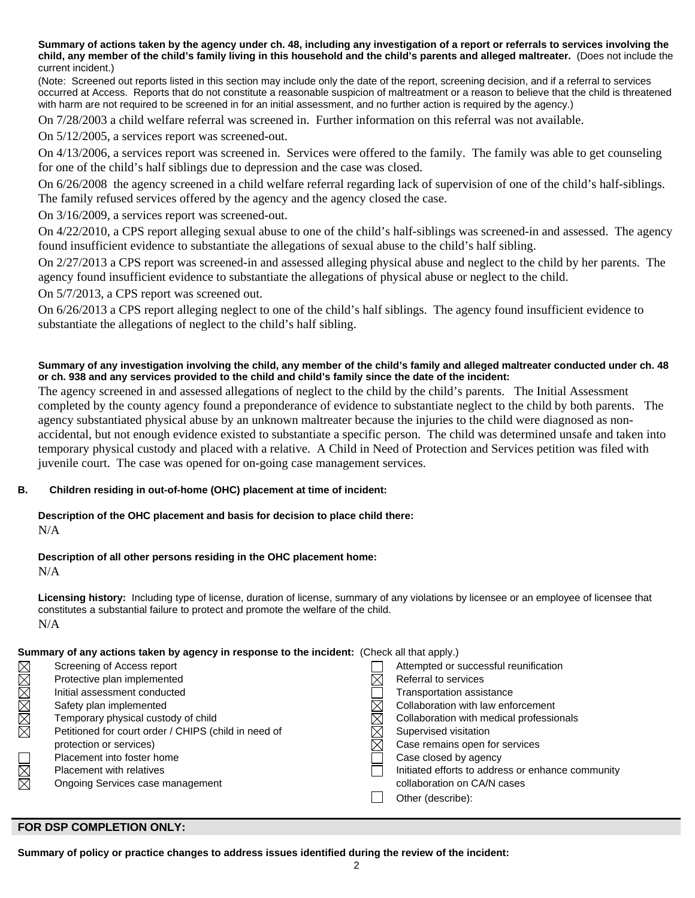**Summary of actions taken by the agency under ch. 48, including any investigation of a report or referrals to services involving the child, any member of the child's family living in this household and the child's parents and alleged maltreater.** (Does not include the current incident.)

(Note: Screened out reports listed in this section may include only the date of the report, screening decision, and if a referral to services occurred at Access. Reports that do not constitute a reasonable suspicion of maltreatment or a reason to believe that the child is threatened with harm are not required to be screened in for an initial assessment, and no further action is required by the agency.)

On 7/28/2003 a child welfare referral was screened in. Further information on this referral was not available.

On 5/12/2005, a services report was screened-out.

On 4/13/2006, a services report was screened in. Services were offered to the family. The family was able to get counseling for one of the child's half siblings due to depression and the case was closed.

On 6/26/2008 the agency screened in a child welfare referral regarding lack of supervision of one of the child's half-siblings. The family refused services offered by the agency and the agency closed the case.

On 3/16/2009, a services report was screened-out.

On 4/22/2010, a CPS report alleging sexual abuse to one of the child's half-siblings was screened-in and assessed. The agency found insufficient evidence to substantiate the allegations of sexual abuse to the child's half sibling.

On 2/27/2013 a CPS report was screened-in and assessed alleging physical abuse and neglect to the child by her parents. The agency found insufficient evidence to substantiate the allegations of physical abuse or neglect to the child.

On 5/7/2013, a CPS report was screened out.

On 6/26/2013 a CPS report alleging neglect to one of the child's half siblings. The agency found insufficient evidence to substantiate the allegations of neglect to the child's half sibling.

#### **Summary of any investigation involving the child, any member of the child's family and alleged maltreater conducted under ch. 48 or ch. 938 and any services provided to the child and child's family since the date of the incident:**

The agency screened in and assessed allegations of neglect to the child by the child's parents. The Initial Assessment completed by the county agency found a preponderance of evidence to substantiate neglect to the child by both parents. The agency substantiated physical abuse by an unknown maltreater because the injuries to the child were diagnosed as nonaccidental, but not enough evidence existed to substantiate a specific person. The child was determined unsafe and taken into temporary physical custody and placed with a relative. A Child in Need of Protection and Services petition was filed with juvenile court. The case was opened for on-going case management services.

#### **B. Children residing in out-of-home (OHC) placement at time of incident:**

# **Description of the OHC placement and basis for decision to place child there:**

N/A

### **Description of all other persons residing in the OHC placement home:**

N/A

**Licensing history:** Including type of license, duration of license, summary of any violations by licensee or an employee of licensee that constitutes a substantial failure to protect and promote the welfare of the child. N/A

#### **Summary of any actions taken by agency in response to the incident:** (Check all that apply.)

|        | Screening of Access report                           | Attempted or successful reunification             |
|--------|------------------------------------------------------|---------------------------------------------------|
|        | Protective plan implemented                          | Referral to services                              |
|        | Initial assessment conducted                         | Transportation assistance                         |
| MMMMMM | Safety plan implemented                              | Collaboration with law enforcement                |
|        | Temporary physical custody of child                  | Collaboration with medical professionals          |
|        | Petitioned for court order / CHIPS (child in need of | Supervised visitation                             |
|        | protection or services)                              | Case remains open for services                    |
|        | Placement into foster home                           | Case closed by agency                             |
|        | <b>Placement with relatives</b>                      | Initiated efforts to address or enhance community |
| N<br>M | Ongoing Services case management                     | collaboration on CA/N cases                       |
|        |                                                      | Other (describe):                                 |
|        |                                                      |                                                   |

#### **FOR DSP COMPLETION ONLY:**

**Summary of policy or practice changes to address issues identified during the review of the incident:**